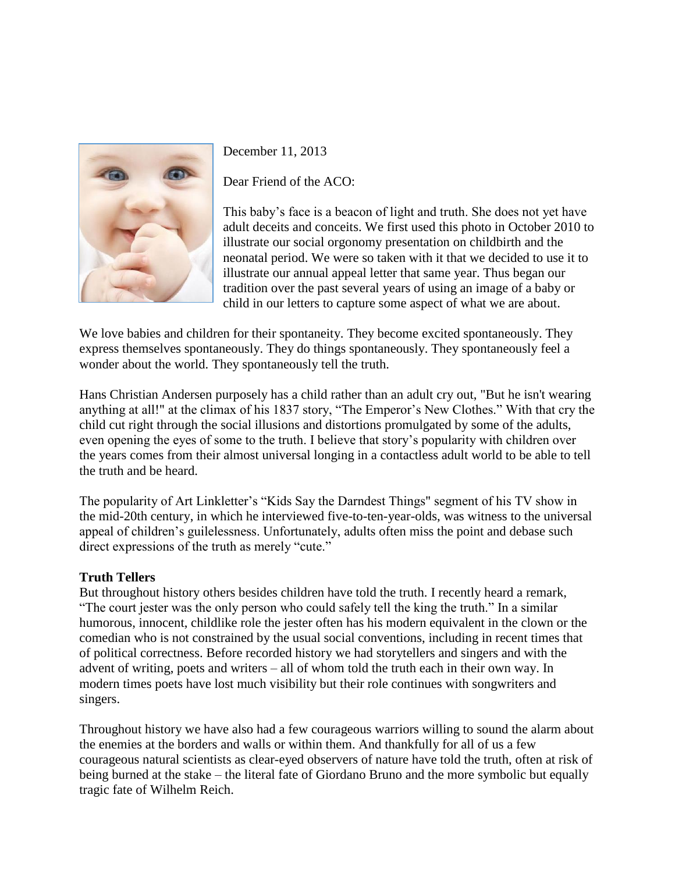

December 11, 2013

Dear Friend of the ACO:

This baby's face is a beacon of light and truth. She does not yet have adult deceits and conceits. We first used this photo in October 2010 to illustrate our social orgonomy presentation on childbirth and the neonatal period. We were so taken with it that we decided to use it to illustrate our annual appeal letter that same year. Thus began our tradition over the past several years of using an image of a baby or child in our letters to capture some aspect of what we are about.

We love babies and children for their spontaneity. They become excited spontaneously. They express themselves spontaneously. They do things spontaneously. They spontaneously feel a wonder about the world. They spontaneously tell the truth.

Hans Christian Andersen purposely has a child rather than an adult cry out, "But he isn't wearing anything at all!" at the climax of his 1837 story, "The Emperor's New Clothes." With that cry the child cut right through the social illusions and distortions promulgated by some of the adults, even opening the eyes of some to the truth. I believe that story's popularity with children over the years comes from their almost universal longing in a contactless adult world to be able to tell the truth and be heard.

The popularity of Art Linkletter's "Kids Say the Darndest Things" segment of his TV show in the mid-20th century, in which he interviewed five-to-ten-year-olds, was witness to the universal appeal of children's guilelessness. Unfortunately, adults often miss the point and debase such direct expressions of the truth as merely "cute."

# **Truth Tellers**

But throughout history others besides children have told the truth. I recently heard a remark, "The court jester was the only person who could safely tell the king the truth." In a similar humorous, innocent, childlike role the jester often has his modern equivalent in the clown or the comedian who is not constrained by the usual social conventions, including in recent times that of political correctness. Before recorded history we had storytellers and singers and with the advent of writing, poets and writers – all of whom told the truth each in their own way. In modern times poets have lost much visibility but their role continues with songwriters and singers.

Throughout history we have also had a few courageous warriors willing to sound the alarm about the enemies at the borders and walls or within them. And thankfully for all of us a few courageous natural scientists as clear-eyed observers of nature have told the truth, often at risk of being burned at the stake – the literal fate of Giordano Bruno and the more symbolic but equally tragic fate of Wilhelm Reich.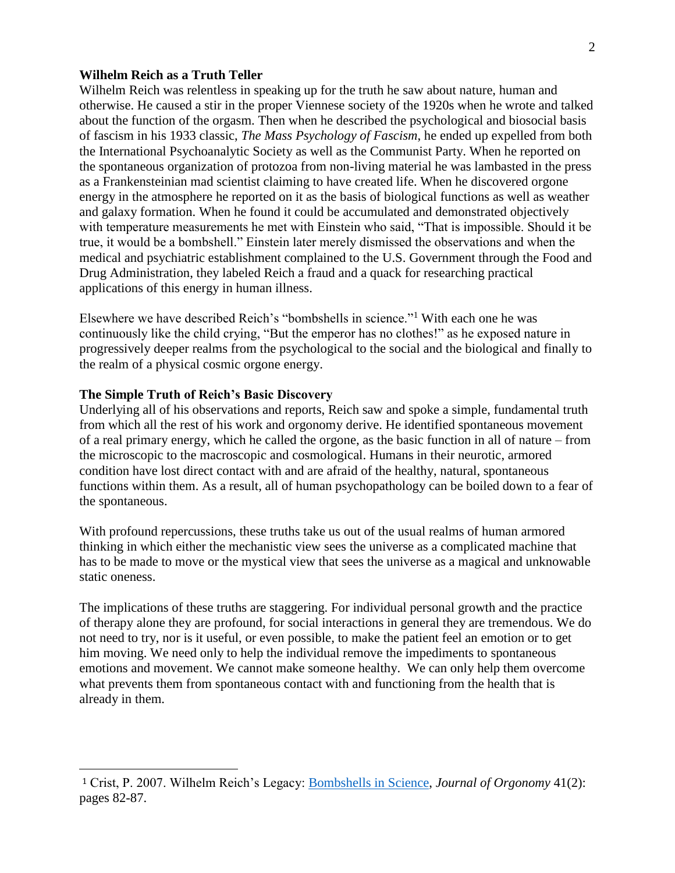### **Wilhelm Reich as a Truth Teller**

Wilhelm Reich was relentless in speaking up for the truth he saw about nature, human and otherwise. He caused a stir in the proper Viennese society of the 1920s when he wrote and talked about the function of the orgasm. Then when he described the psychological and biosocial basis of fascism in his 1933 classic, *The Mass Psychology of Fascism*, he ended up expelled from both the International Psychoanalytic Society as well as the Communist Party. When he reported on the spontaneous organization of protozoa from non-living material he was lambasted in the press as a Frankensteinian mad scientist claiming to have created life. When he discovered orgone energy in the atmosphere he reported on it as the basis of biological functions as well as weather and galaxy formation. When he found it could be accumulated and demonstrated objectively with temperature measurements he met with Einstein who said, "That is impossible. Should it be true, it would be a bombshell." Einstein later merely dismissed the observations and when the medical and psychiatric establishment complained to the U.S. Government through the Food and Drug Administration, they labeled Reich a fraud and a quack for researching practical applications of this energy in human illness.

Elsewhere we have described Reich's "bombshells in science."<sup>1</sup> With each one he was continuously like the child crying, "But the emperor has no clothes!" as he exposed nature in progressively deeper realms from the psychological to the social and the biological and finally to the realm of a physical cosmic orgone energy.

### **The Simple Truth of Reich's Basic Discovery**

l

Underlying all of his observations and reports, Reich saw and spoke a simple, fundamental truth from which all the rest of his work and orgonomy derive. He identified spontaneous movement of a real primary energy, which he called the orgone, as the basic function in all of nature – from the microscopic to the macroscopic and cosmological. Humans in their neurotic, armored condition have lost direct contact with and are afraid of the healthy, natural, spontaneous functions within them. As a result, all of human psychopathology can be boiled down to a fear of the spontaneous.

With profound repercussions, these truths take us out of the usual realms of human armored thinking in which either the mechanistic view sees the universe as a complicated machine that has to be made to move or the mystical view that sees the universe as a magical and unknowable static oneness.

The implications of these truths are staggering. For individual personal growth and the practice of therapy alone they are profound, for social interactions in general they are tremendous. We do not need to try, nor is it useful, or even possible, to make the patient feel an emotion or to get him moving. We need only to help the individual remove the impediments to spontaneous emotions and movement. We cannot make someone healthy. We can only help them overcome what prevents them from spontaneous contact with and functioning from the health that is already in them.

<sup>1</sup> Crist, P. 2007. Wilhelm Reich's Legacy: [Bombshells in Science,](http://orgonomy.org/articles/Science_Links/bombshells_in_science.pdf) *Journal of Orgonomy* 41(2): pages 82-87.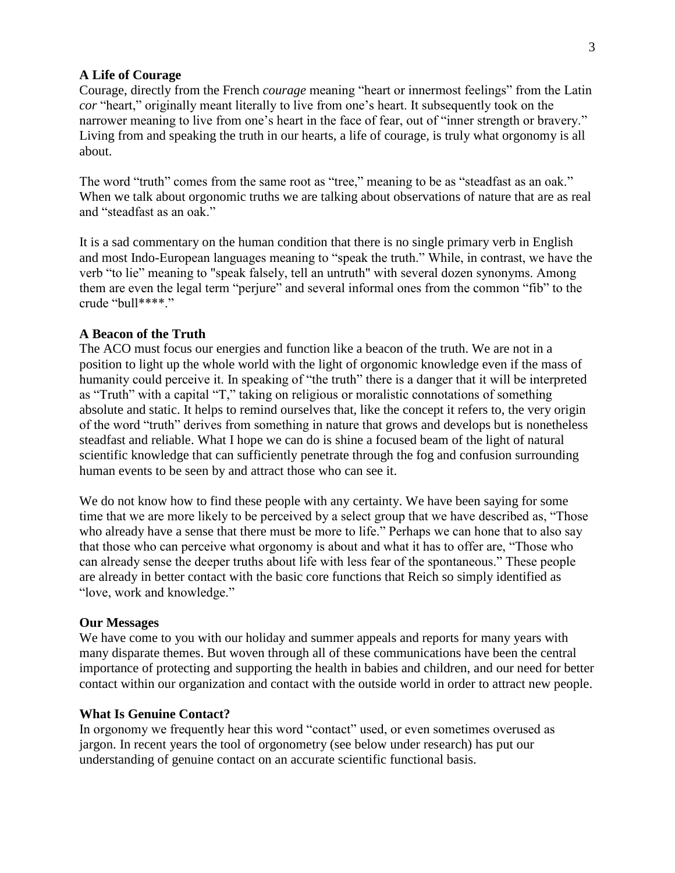#### **A Life of Courage**

Courage, directly from the French *courage* meaning "heart or innermost feelings" from the Latin *cor* "heart," originally meant literally to live from one's heart. It subsequently took on the narrower meaning to live from one's heart in the face of fear, out of "inner strength or bravery." Living from and speaking the truth in our hearts, a life of courage, is truly what orgonomy is all about.

The word "truth" comes from the same root as "tree," meaning to be as "steadfast as an oak." When we talk about orgonomic truths we are talking about observations of nature that are as real and "steadfast as an oak."

It is a sad commentary on the human condition that there is no single primary verb in English and most Indo-European languages meaning to "speak the truth." While, in contrast, we have the verb "to lie" meaning to "speak falsely, tell an untruth" with several dozen synonyms. Among them are even the legal term "perjure" and several informal ones from the common "fib" to the crude "bull\*\*\*\*."

### **A Beacon of the Truth**

The ACO must focus our energies and function like a beacon of the truth. We are not in a position to light up the whole world with the light of orgonomic knowledge even if the mass of humanity could perceive it. In speaking of "the truth" there is a danger that it will be interpreted as "Truth" with a capital "T," taking on religious or moralistic connotations of something absolute and static. It helps to remind ourselves that, like the concept it refers to, the very origin of the word "truth" derives from something in nature that grows and develops but is nonetheless steadfast and reliable. What I hope we can do is shine a focused beam of the light of natural scientific knowledge that can sufficiently penetrate through the fog and confusion surrounding human events to be seen by and attract those who can see it.

We do not know how to find these people with any certainty. We have been saying for some time that we are more likely to be perceived by a select group that we have described as, "Those who already have a sense that there must be more to life." Perhaps we can hone that to also say that those who can perceive what orgonomy is about and what it has to offer are, "Those who can already sense the deeper truths about life with less fear of the spontaneous." These people are already in better contact with the basic core functions that Reich so simply identified as "love, work and knowledge."

#### **Our Messages**

We have come to you with our holiday and summer appeals and reports for many years with many disparate themes. But woven through all of these communications have been the central importance of protecting and supporting the health in babies and children, and our need for better contact within our organization and contact with the outside world in order to attract new people.

#### **What Is Genuine Contact?**

In orgonomy we frequently hear this word "contact" used, or even sometimes overused as jargon. In recent years the tool of orgonometry (see below under research) has put our understanding of genuine contact on an accurate scientific functional basis.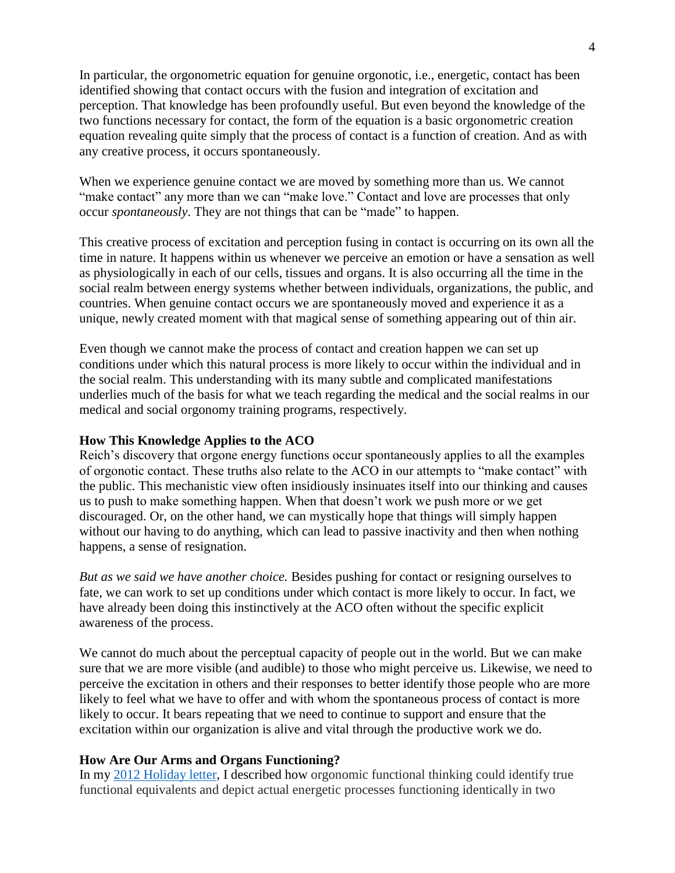In particular, the orgonometric equation for genuine orgonotic, i.e., energetic, contact has been identified showing that contact occurs with the fusion and integration of excitation and perception. That knowledge has been profoundly useful. But even beyond the knowledge of the two functions necessary for contact, the form of the equation is a basic orgonometric creation equation revealing quite simply that the process of contact is a function of creation. And as with any creative process, it occurs spontaneously.

When we experience genuine contact we are moved by something more than us. We cannot "make contact" any more than we can "make love." Contact and love are processes that only occur *spontaneously*. They are not things that can be "made" to happen.

This creative process of excitation and perception fusing in contact is occurring on its own all the time in nature. It happens within us whenever we perceive an emotion or have a sensation as well as physiologically in each of our cells, tissues and organs. It is also occurring all the time in the social realm between energy systems whether between individuals, organizations, the public, and countries. When genuine contact occurs we are spontaneously moved and experience it as a unique, newly created moment with that magical sense of something appearing out of thin air.

Even though we cannot make the process of contact and creation happen we can set up conditions under which this natural process is more likely to occur within the individual and in the social realm. This understanding with its many subtle and complicated manifestations underlies much of the basis for what we teach regarding the medical and the social realms in our medical and social orgonomy training programs, respectively.

### **How This Knowledge Applies to the ACO**

Reich's discovery that orgone energy functions occur spontaneously applies to all the examples of orgonotic contact. These truths also relate to the ACO in our attempts to "make contact" with the public. This mechanistic view often insidiously insinuates itself into our thinking and causes us to push to make something happen. When that doesn't work we push more or we get discouraged. Or, on the other hand, we can mystically hope that things will simply happen without our having to do anything, which can lead to passive inactivity and then when nothing happens, a sense of resignation.

*But as we said we have another choice.* Besides pushing for contact or resigning ourselves to fate, we can work to set up conditions under which contact is more likely to occur. In fact, we have already been doing this instinctively at the ACO often without the specific explicit awareness of the process.

We cannot do much about the perceptual capacity of people out in the world. But we can make sure that we are more visible (and audible) to those who might perceive us. Likewise, we need to perceive the excitation in others and their responses to better identify those people who are more likely to feel what we have to offer and with whom the spontaneous process of contact is more likely to occur. It bears repeating that we need to continue to support and ensure that the excitation within our organization is alive and vital through the productive work we do.

#### **How Are Our Arms and Organs Functioning?**

In my [2012 Holiday letter,](http://orgonomy.org/temp/media_president_winter_2012.html) I described how orgonomic functional thinking could identify true functional equivalents and depict actual energetic processes functioning identically in two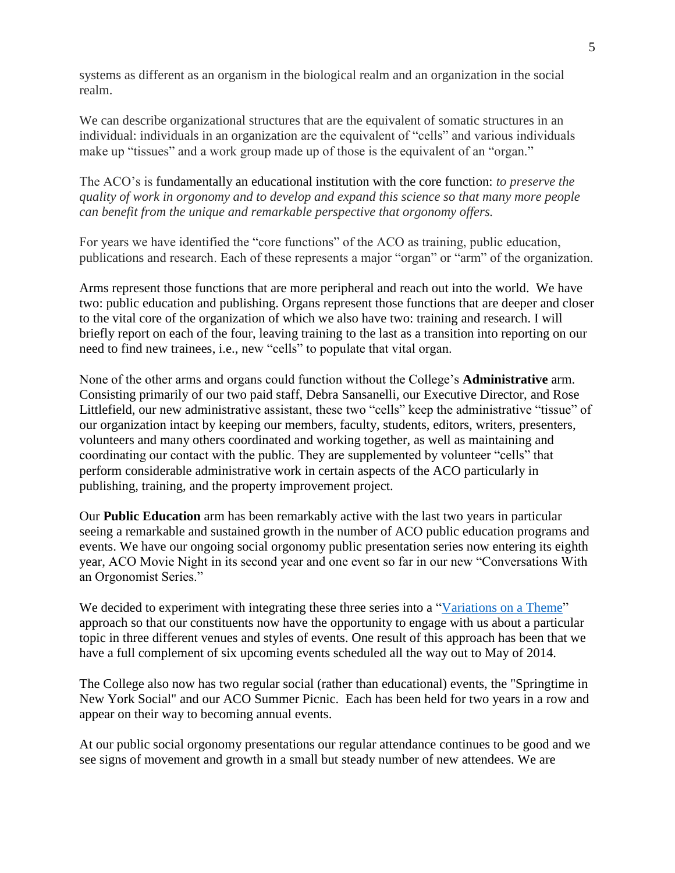systems as different as an organism in the biological realm and an organization in the social realm.

We can describe organizational structures that are the equivalent of somatic structures in an individual: individuals in an organization are the equivalent of "cells" and various individuals make up "tissues" and a work group made up of those is the equivalent of an "organ."

The ACO's is fundamentally an educational institution with the core function: *to preserve the quality of work in orgonomy and to develop and expand this science so that many more people can benefit from the unique and remarkable perspective that orgonomy offers.*

For years we have identified the "core functions" of the ACO as training, public education, publications and research. Each of these represents a major "organ" or "arm" of the organization.

Arms represent those functions that are more peripheral and reach out into the world. We have two: public education and publishing. Organs represent those functions that are deeper and closer to the vital core of the organization of which we also have two: training and research. I will briefly report on each of the four, leaving training to the last as a transition into reporting on our need to find new trainees, i.e., new "cells" to populate that vital organ.

None of the other arms and organs could function without the College's **Administrative** arm. Consisting primarily of our two paid staff, Debra Sansanelli, our Executive Director, and Rose Littlefield, our new administrative assistant, these two "cells" keep the administrative "tissue" of our organization intact by keeping our members, faculty, students, editors, writers, presenters, volunteers and many others coordinated and working together, as well as maintaining and coordinating our contact with the public. They are supplemented by volunteer "cells" that perform considerable administrative work in certain aspects of the ACO particularly in publishing, training, and the property improvement project.

Our **Public Education** arm has been remarkably active with the last two years in particular seeing a remarkable and sustained growth in the number of ACO public education programs and events. We have our ongoing social orgonomy public presentation series now entering its eighth year, ACO Movie Night in its second year and one event so far in our new "Conversations With an Orgonomist Series."

We decided to experiment with integrating these three series into a ["Variations on a Theme"](http://orgonomy.org/events.html) approach so that our constituents now have the opportunity to engage with us about a particular topic in three different venues and styles of events. One result of this approach has been that we have a full complement of six upcoming events scheduled all the way out to May of 2014.

The College also now has two regular social (rather than educational) events, the "Springtime in New York Social" and our ACO Summer Picnic. Each has been held for two years in a row and appear on their way to becoming annual events.

At our public social orgonomy presentations our regular attendance continues to be good and we see signs of movement and growth in a small but steady number of new attendees. We are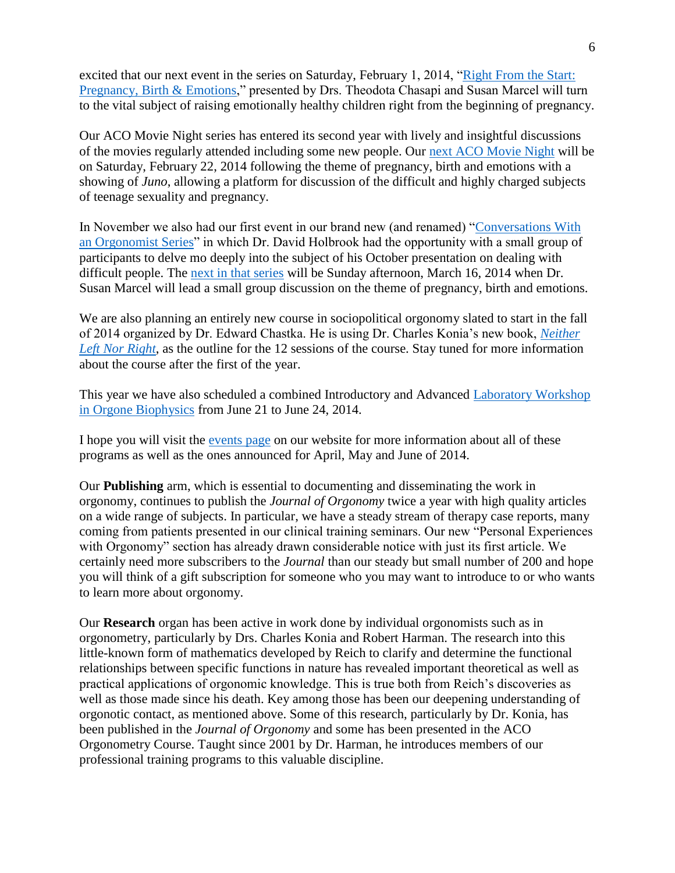excited that our next event in the series on Saturday, February 1, 2014, ["Right From the Start:](http://orgonomy.org/events.html)  [Pregnancy, Birth & Emotions,](http://orgonomy.org/events.html)" presented by Drs. Theodota Chasapi and Susan Marcel will turn to the vital subject of raising emotionally healthy children right from the beginning of pregnancy.

Our ACO Movie Night series has entered its second year with lively and insightful discussions of the movies regularly attended including some new people. Our [next ACO Movie Night](http://orgonomy.org/events.html) will be on Saturday, February 22, 2014 following the theme of pregnancy, birth and emotions with a showing of *Juno*, allowing a platform for discussion of the difficult and highly charged subjects of teenage sexuality and pregnancy.

In November we also had our first event in our brand new (and renamed) ["Conversations With](http://orgonomy.org/public_eye.html)  [an Orgonomist Series"](http://orgonomy.org/public_eye.html) in which Dr. David Holbrook had the opportunity with a small group of participants to delve mo deeply into the subject of his October presentation on dealing with difficult people. The [next in that series](http://orgonomy.org/events.html) will be Sunday afternoon, March 16, 2014 when Dr. Susan Marcel will lead a small group discussion on the theme of pregnancy, birth and emotions.

We are also planning an entirely new course in sociopolitical orgonomy slated to start in the fall of 2014 organized by Dr. Edward Chastka. He is using Dr. Charles Konia's new book, *[Neither](http://s258080177.e-shop.info/shop/article_18/Neither-Left-Nor-Right.html?sessid=EdRiXtJomDXlPpu8YIUVzd6bR9VAtfvRkfqmV9WC4efht2iZbcrQerGPMSm6hRpD&shop_param=cid%3D2%26aid%3D18%26)  [Left Nor Right](http://s258080177.e-shop.info/shop/article_18/Neither-Left-Nor-Right.html?sessid=EdRiXtJomDXlPpu8YIUVzd6bR9VAtfvRkfqmV9WC4efht2iZbcrQerGPMSm6hRpD&shop_param=cid%3D2%26aid%3D18%26)*, as the outline for the 12 sessions of the course. Stay tuned for more information about the course after the first of the year.

This year we have also scheduled a combined Introductory and Advanced [Laboratory Workshop](http://orgonomy.org/training/training_lab_course.html)  [in Orgone Biophysics](http://orgonomy.org/training/training_lab_course.html) from June 21 to June 24, 2014.

I hope you will visit the [events page](http://orgonomy.org/events.html) on our website for more information about all of these programs as well as the ones announced for April, May and June of 2014.

Our **Publishing** arm, which is essential to documenting and disseminating the work in orgonomy, continues to publish the *Journal of Orgonomy* twice a year with high quality articles on a wide range of subjects. In particular, we have a steady stream of therapy case reports, many coming from patients presented in our clinical training seminars. Our new "Personal Experiences with Orgonomy" section has already drawn considerable notice with just its first article. We certainly need more subscribers to the *Journal* than our steady but small number of 200 and hope you will think of a gift subscription for someone who you may want to introduce to or who wants to learn more about orgonomy.

Our **Research** organ has been active in work done by individual orgonomists such as in orgonometry, particularly by Drs. Charles Konia and Robert Harman. The research into this little-known form of mathematics developed by Reich to clarify and determine the functional relationships between specific functions in nature has revealed important theoretical as well as practical applications of orgonomic knowledge. This is true both from Reich's discoveries as well as those made since his death. Key among those has been our deepening understanding of orgonotic contact, as mentioned above. Some of this research, particularly by Dr. Konia, has been published in the *Journal of Orgonomy* and some has been presented in the ACO Orgonometry Course. Taught since 2001 by Dr. Harman, he introduces members of our professional training programs to this valuable discipline.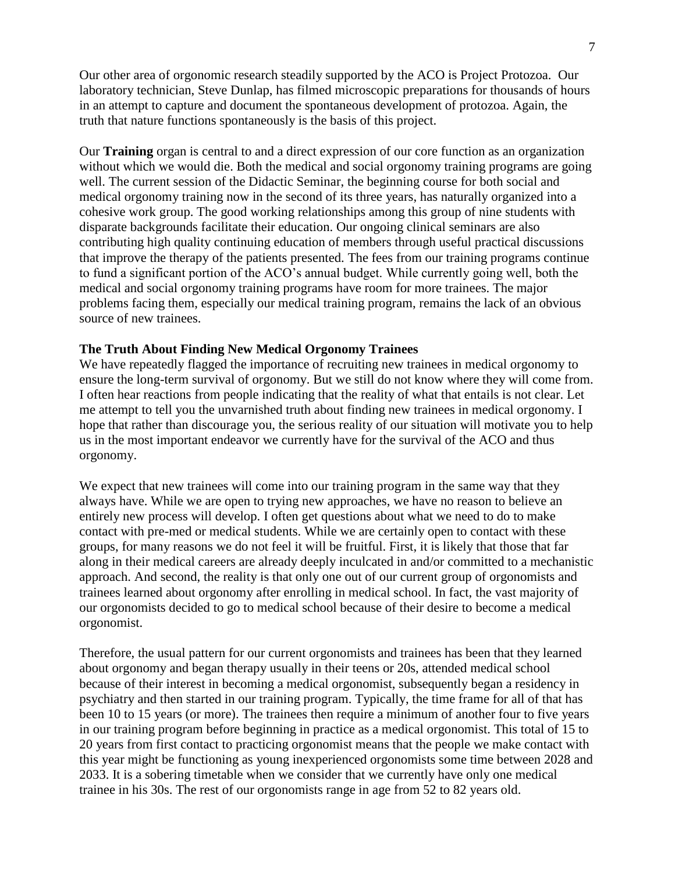Our other area of orgonomic research steadily supported by the ACO is Project Protozoa. Our laboratory technician, Steve Dunlap, has filmed microscopic preparations for thousands of hours in an attempt to capture and document the spontaneous development of protozoa. Again, the truth that nature functions spontaneously is the basis of this project.

Our **Training** organ is central to and a direct expression of our core function as an organization without which we would die. Both the medical and social orgonomy training programs are going well. The current session of the Didactic Seminar, the beginning course for both social and medical orgonomy training now in the second of its three years, has naturally organized into a cohesive work group. The good working relationships among this group of nine students with disparate backgrounds facilitate their education. Our ongoing clinical seminars are also contributing high quality continuing education of members through useful practical discussions that improve the therapy of the patients presented. The fees from our training programs continue to fund a significant portion of the ACO's annual budget. While currently going well, both the medical and social orgonomy training programs have room for more trainees. The major problems facing them, especially our medical training program, remains the lack of an obvious source of new trainees.

#### **The Truth About Finding New Medical Orgonomy Trainees**

We have repeatedly flagged the importance of recruiting new trainees in medical orgonomy to ensure the long-term survival of orgonomy. But we still do not know where they will come from. I often hear reactions from people indicating that the reality of what that entails is not clear. Let me attempt to tell you the unvarnished truth about finding new trainees in medical orgonomy. I hope that rather than discourage you, the serious reality of our situation will motivate you to help us in the most important endeavor we currently have for the survival of the ACO and thus orgonomy.

We expect that new trainees will come into our training program in the same way that they always have. While we are open to trying new approaches, we have no reason to believe an entirely new process will develop. I often get questions about what we need to do to make contact with pre-med or medical students. While we are certainly open to contact with these groups, for many reasons we do not feel it will be fruitful. First, it is likely that those that far along in their medical careers are already deeply inculcated in and/or committed to a mechanistic approach. And second, the reality is that only one out of our current group of orgonomists and trainees learned about orgonomy after enrolling in medical school. In fact, the vast majority of our orgonomists decided to go to medical school because of their desire to become a medical orgonomist.

Therefore, the usual pattern for our current orgonomists and trainees has been that they learned about orgonomy and began therapy usually in their teens or 20s, attended medical school because of their interest in becoming a medical orgonomist, subsequently began a residency in psychiatry and then started in our training program. Typically, the time frame for all of that has been 10 to 15 years (or more). The trainees then require a minimum of another four to five years in our training program before beginning in practice as a medical orgonomist. This total of 15 to 20 years from first contact to practicing orgonomist means that the people we make contact with this year might be functioning as young inexperienced orgonomists some time between 2028 and 2033. It is a sobering timetable when we consider that we currently have only one medical trainee in his 30s. The rest of our orgonomists range in age from 52 to 82 years old.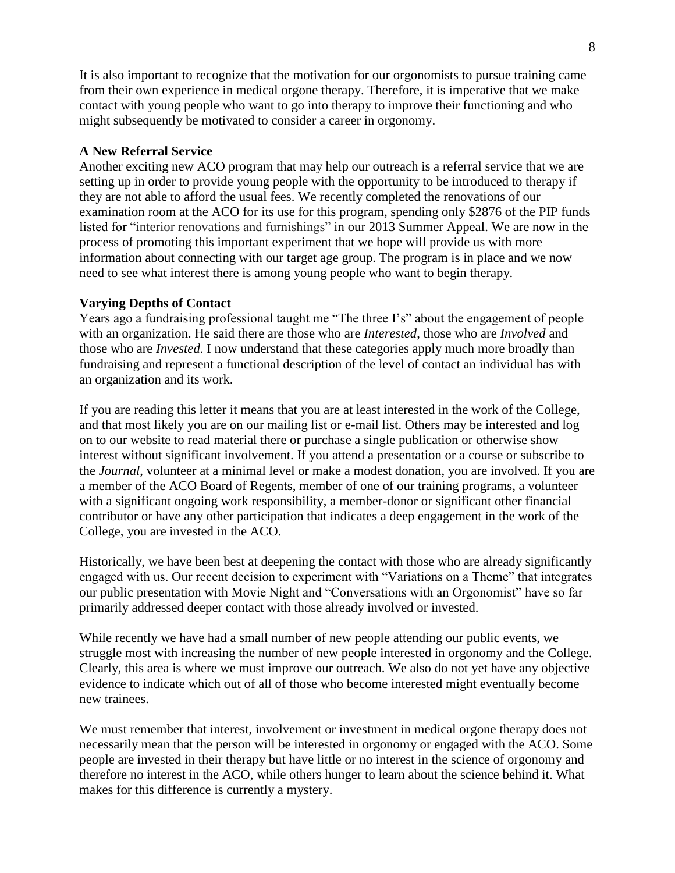It is also important to recognize that the motivation for our orgonomists to pursue training came from their own experience in medical orgone therapy. Therefore, it is imperative that we make contact with young people who want to go into therapy to improve their functioning and who might subsequently be motivated to consider a career in orgonomy.

### **A New Referral Service**

Another exciting new ACO program that may help our outreach is a referral service that we are setting up in order to provide young people with the opportunity to be introduced to therapy if they are not able to afford the usual fees. We recently completed the renovations of our examination room at the ACO for its use for this program, spending only \$2876 of the PIP funds listed for "interior renovations and furnishings" in our 2013 Summer Appeal. We are now in the process of promoting this important experiment that we hope will provide us with more information about connecting with our target age group. The program is in place and we now need to see what interest there is among young people who want to begin therapy.

## **Varying Depths of Contact**

Years ago a fundraising professional taught me "The three I's" about the engagement of people with an organization. He said there are those who are *Interested*, those who are *Involved* and those who are *Invested*. I now understand that these categories apply much more broadly than fundraising and represent a functional description of the level of contact an individual has with an organization and its work.

If you are reading this letter it means that you are at least interested in the work of the College, and that most likely you are on our mailing list or e-mail list. Others may be interested and log on to our website to read material there or purchase a single publication or otherwise show interest without significant involvement. If you attend a presentation or a course or subscribe to the *Journal*, volunteer at a minimal level or make a modest donation, you are involved. If you are a member of the ACO Board of Regents, member of one of our training programs, a volunteer with a significant ongoing work responsibility, a member-donor or significant other financial contributor or have any other participation that indicates a deep engagement in the work of the College, you are invested in the ACO.

Historically, we have been best at deepening the contact with those who are already significantly engaged with us. Our recent decision to experiment with "Variations on a Theme" that integrates our public presentation with Movie Night and "Conversations with an Orgonomist" have so far primarily addressed deeper contact with those already involved or invested.

While recently we have had a small number of new people attending our public events, we struggle most with increasing the number of new people interested in orgonomy and the College. Clearly, this area is where we must improve our outreach. We also do not yet have any objective evidence to indicate which out of all of those who become interested might eventually become new trainees.

We must remember that interest, involvement or investment in medical orgone therapy does not necessarily mean that the person will be interested in orgonomy or engaged with the ACO. Some people are invested in their therapy but have little or no interest in the science of orgonomy and therefore no interest in the ACO, while others hunger to learn about the science behind it. What makes for this difference is currently a mystery.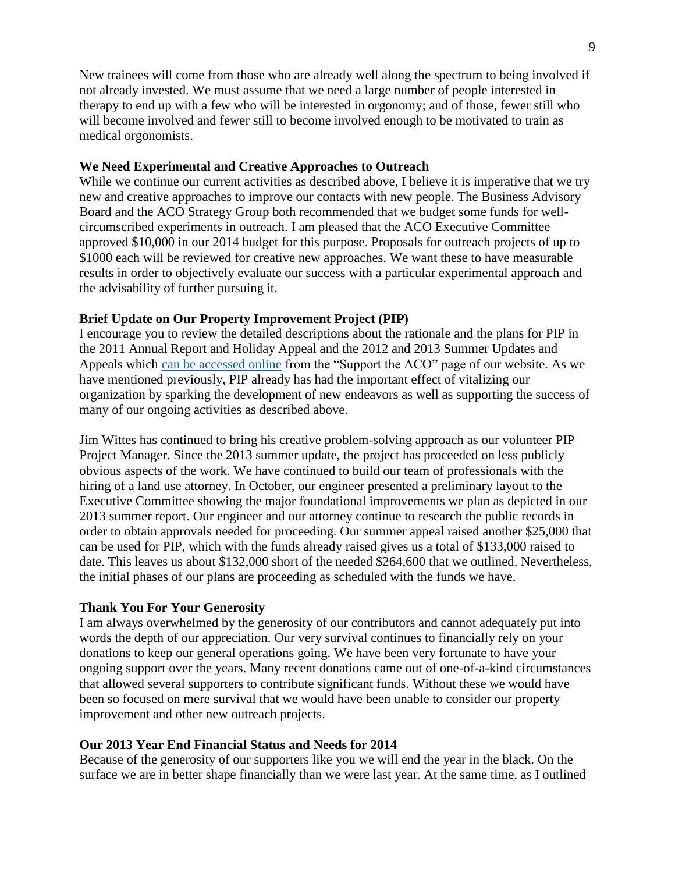New trainees will come from those who are already well along the spectrum to being involved if not already invested. We must assume that we need a large number of people interested in therapy to end up with a few who will be interested in orgonomy; and of those, fewer still who will become involved and fewer still to become involved enough to be motivated to train as medical orgonomists.

### **We Need Experimental and Creative Approaches to Outreach**

While we continue our current activities as described above, I believe it is imperative that we try new and creative approaches to improve our contacts with new people. The Business Advisory Board and the ACO Strategy Group both recommended that we budget some funds for wellcircumscribed experiments in outreach. I am pleased that the ACO Executive Committee approved \$10,000 in our 2014 budget for this purpose. Proposals for outreach projects of up to \$1000 each will be reviewed for creative new approaches. We want these to have measurable results in order to objectively evaluate our success with a particular experimental approach and the advisability of further pursuing it.

### **Brief Update on Our Property Improvement Project (PIP)**

I encourage you to review the detailed descriptions about the rationale and the plans for PIP in the 2011 Annual Report and Holiday Appeal and the 2012 and 2013 Summer Updates and Appeals which [can be accessed online](http://orgonomy.org/support.html) from the "Support the ACO" page of our website. As we have mentioned previously, PIP already has had the important effect of vitalizing our organization by sparking the development of new endeavors as well as supporting the success of many of our ongoing activities as described above.

Jim Wittes has continued to bring his creative problem-solving approach as our volunteer PIP Project Manager. Since the 2013 summer update, the project has proceeded on less publicly obvious aspects of the work. We have continued to build our team of professionals with the hiring of a land use attorney. In October, our engineer presented a preliminary layout to the Executive Committee showing the major foundational improvements we plan as depicted in our 2013 summer report. Our engineer and our attorney continue to research the public records in order to obtain approvals needed for proceeding. Our summer appeal raised another \$25,000 that can be used for PIP, which with the funds already raised gives us a total of \$133,000 raised to date. This leaves us about \$132,000 short of the needed \$264,600 that we outlined. Nevertheless, the initial phases of our plans are proceeding as scheduled with the funds we have.

#### **Thank You For Your Generosity**

I am always overwhelmed by the generosity of our contributors and cannot adequately put into words the depth of our appreciation. Our very survival continues to financially rely on your donations to keep our general operations going. We have been very fortunate to have your ongoing support over the years. Many recent donations came out of one-of-a-kind circumstances that allowed several supporters to contribute significant funds. Without these we would have been so focused on mere survival that we would have been unable to consider our property improvement and other new outreach projects.

#### **Our 2013 Year End Financial Status and Needs for 2014**

Because of the generosity of our supporters like you we will end the year in the black. On the surface we are in better shape financially than we were last year. At the same time, as I outlined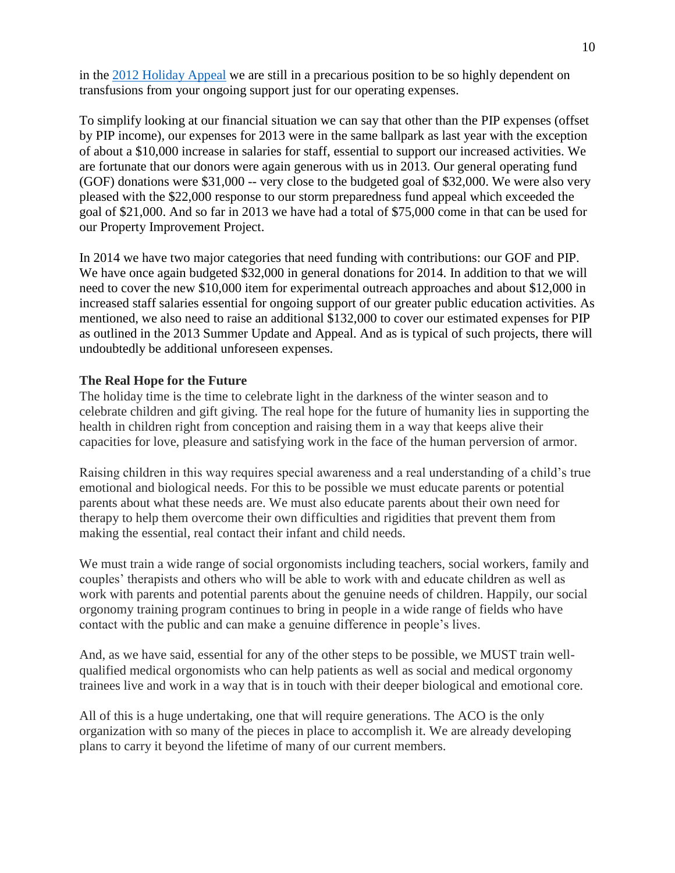in the [2012 Holiday Appeal](http://orgonomy.org/temp/media_president_winter_2012.html) we are still in a precarious position to be so highly dependent on transfusions from your ongoing support just for our operating expenses.

To simplify looking at our financial situation we can say that other than the PIP expenses (offset by PIP income), our expenses for 2013 were in the same ballpark as last year with the exception of about a \$10,000 increase in salaries for staff, essential to support our increased activities. We are fortunate that our donors were again generous with us in 2013. Our general operating fund (GOF) donations were \$31,000 -- very close to the budgeted goal of \$32,000. We were also very pleased with the \$22,000 response to our storm preparedness fund appeal which exceeded the goal of \$21,000. And so far in 2013 we have had a total of \$75,000 come in that can be used for our Property Improvement Project.

In 2014 we have two major categories that need funding with contributions: our GOF and PIP. We have once again budgeted \$32,000 in general donations for 2014. In addition to that we will need to cover the new \$10,000 item for experimental outreach approaches and about \$12,000 in increased staff salaries essential for ongoing support of our greater public education activities. As mentioned, we also need to raise an additional \$132,000 to cover our estimated expenses for PIP as outlined in the 2013 Summer Update and Appeal. And as is typical of such projects, there will undoubtedly be additional unforeseen expenses.

## **The Real Hope for the Future**

The holiday time is the time to celebrate light in the darkness of the winter season and to celebrate children and gift giving. The real hope for the future of humanity lies in supporting the health in children right from conception and raising them in a way that keeps alive their capacities for love, pleasure and satisfying work in the face of the human perversion of armor.

Raising children in this way requires special awareness and a real understanding of a child's true emotional and biological needs. For this to be possible we must educate parents or potential parents about what these needs are. We must also educate parents about their own need for therapy to help them overcome their own difficulties and rigidities that prevent them from making the essential, real contact their infant and child needs.

We must train a wide range of social orgonomists including teachers, social workers, family and couples' therapists and others who will be able to work with and educate children as well as work with parents and potential parents about the genuine needs of children. Happily, our social orgonomy training program continues to bring in people in a wide range of fields who have contact with the public and can make a genuine difference in people's lives.

And, as we have said, essential for any of the other steps to be possible, we MUST train wellqualified medical orgonomists who can help patients as well as social and medical orgonomy trainees live and work in a way that is in touch with their deeper biological and emotional core.

All of this is a huge undertaking, one that will require generations. The ACO is the only organization with so many of the pieces in place to accomplish it. We are already developing plans to carry it beyond the lifetime of many of our current members.